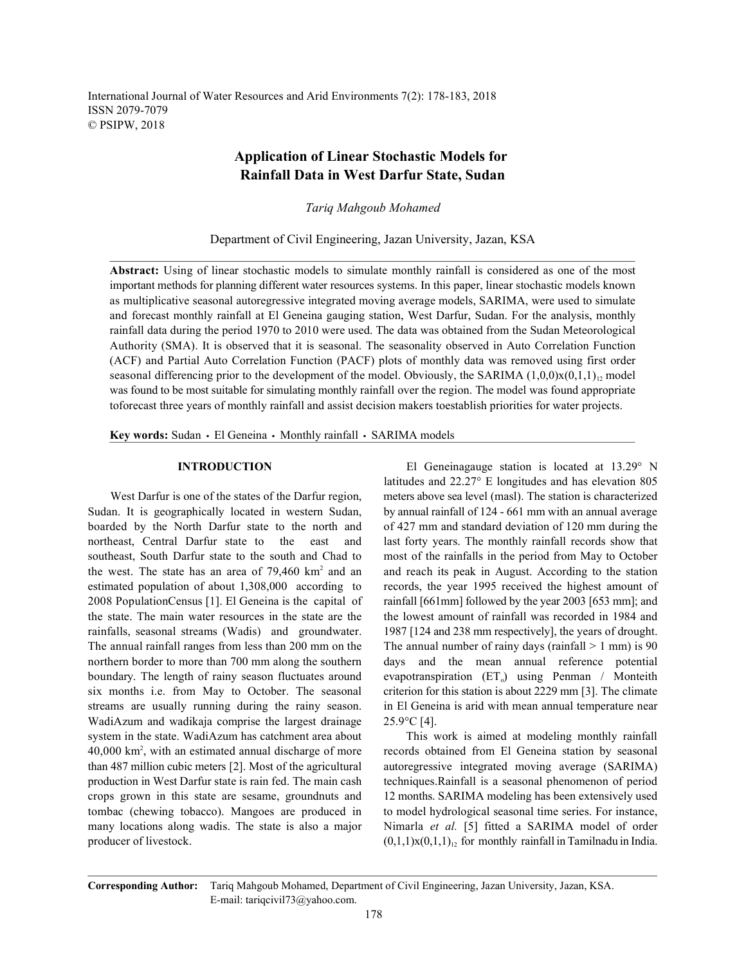International Journal of Water Resources and Arid Environments 7(2): 178-183, 2018 ISSN 2079-7079 © PSIPW, 2018

# **Application of Linear Stochastic Models for Rainfall Data in West Darfur State, Sudan**

*Tariq Mahgoub Mohamed*

Department of Civil Engineering, Jazan University, Jazan, KSA

**Abstract:** Using of linear stochastic models to simulate monthly rainfall is considered as one of the most important methods for planning different water resources systems. In this paper, linear stochastic models known as multiplicative seasonal autoregressive integrated moving average models, SARIMA, were used to simulate and forecast monthly rainfall at El Geneina gauging station, West Darfur, Sudan. For the analysis, monthly rainfall data during the period 1970 to 2010 were used. The data was obtained from the Sudan Meteorological Authority (SMA). It is observed that it is seasonal. The seasonality observed in Auto Correlation Function (ACF) and Partial Auto Correlation Function (PACF) plots of monthly data was removed using first order seasonal differencing prior to the development of the model. Obviously, the SARIMA  $(1,0,0)x(0,1,1)_1$  model was found to be most suitable for simulating monthly rainfall over the region. The model was found appropriate toforecast three years of monthly rainfall and assist decision makers toestablish priorities for water projects.

Key words: Sudan · El Geneina · Monthly rainfall · SARIMA models

Sudan. It is geographically located in western Sudan, by annual rainfall of 124 - 661 mm with an annual average boarded by the North Darfur state to the north and of 427 mm and standard deviation of 120 mm during the northeast, Central Darfur state to the east and last forty years. The monthly rainfall records show that southeast, South Darfur state to the south and Chad to most of the rainfalls in the period from May to October the west. The state has an area of  $79,460 \text{ km}^2$  and an and reach its peak in August. According to the station estimated population of about 1,308,000 according to records, the year 1995 received the highest amount of 2008 PopulationCensus [1]. El Geneina is the capital of rainfall [661mm] followed by the year 2003 [653 mm]; and the state. The main water resources in the state are the the lowest amount of rainfall was recorded in 1984 and rainfalls, seasonal streams (Wadis) and groundwater. 1987 [124 and 238 mm respectively], the years of drought. The annual rainfall ranges from less than 200 mm on the The annual number of rainy days (rainfall  $> 1$  mm) is 90 northern border to more than 700 mm along the southern days and the mean annual reference potential boundary. The length of rainy season fluctuates around evapotranspiration  $(ET_0)$  using Penman / Monteith six months i.e. from May to October. The seasonal criterion for this station is about 2229 mm [3]. The climate streams are usually running during the rainy season. in El Geneina is arid with mean annual temperature near WadiAzum and wadikaja comprise the largest drainage 25.9°C [4]. system in the state. WadiAzum has catchment area about This work is aimed at modeling monthly rainfall 40,000 km<sup>2</sup>, with an estimated annual discharge of more records obtained from El Geneina station by seasonal than 487 million cubic meters [2]. Most of the agricultural autoregressive integrated moving average (SARIMA) production in West Darfur state is rain fed. The main cash techniques.Rainfall is a seasonal phenomenon of period crops grown in this state are sesame, groundnuts and 12 months. SARIMA modeling has been extensively used tombac (chewing tobacco). Mangoes are produced in to model hydrological seasonal time series. For instance, many locations along wadis. The state is also a major Nimarla *et al.* [5] fitted a SARIMA model of order producer of livestock.  $(0,1,1)x(0,1,1)_1$  for monthly rainfall in Tamilnadu in India.

**INTRODUCTION** El Geneinagauge station is located at 13.29° N West Darfur is one of the states of the Darfur region, meters above sea level (masl). The station is characterized latitudes and 22.27° E longitudes and has elevation 805

**Corresponding Author:** Tariq Mahgoub Mohamed, Department of Civil Engineering, Jazan University, Jazan, KSA. E-mail: tariqcivil73@yahoo.com.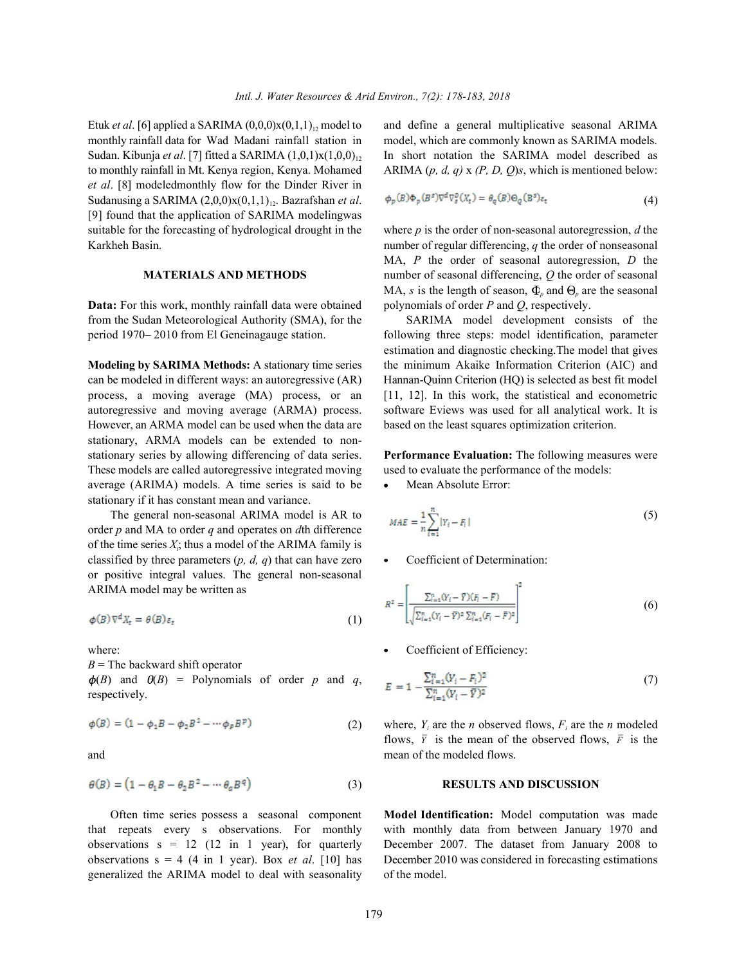Etuk *et al*. [6] applied a SARIMA (0,0,0)x(0,1,1)<sub>12</sub> model to and define a general multiplicative seasonal ARIMA monthly rainfall data for Wad Madani rainfall station in model, which are commonly known as SARIMA models. monthly rainfall data for Wad Madani rainfall station in Sudan. Kibunja *et al.* [7] fitted a SARIMA (1,0,1)x(1,0,0)<sub>12</sub> In short notation the SARIMA model described as to monthly rainfall in Mt. Kenya region, Kenya. Mohamed ARIMA (*p, d, q)* x *(P, D, Q*)*s*, which is mentioned below: *et al*. [8] modeledmonthly flow for the Dinder River in Sudanusing a SARIMA (2,0,0)x(0,1,1)<sub>12</sub>. Bazrafshan *et al*. [9] found that the application of SARIMA modelingwas suitable for the forecasting of hydrological drought in the where *p* is the order of non-seasonal autoregression, *d* the

**Data:** For this work, monthly rainfall data were obtained polynomials of order *P* and *Q*, respectively. from the Sudan Meteorological Authority (SMA), for the SARIMA model development consists of the

However, an ARMA model can be used when the data are based on the least squares optimization criterion. stationary, ARMA models can be extended to nonstationary series by allowing differencing of data series. **Performance Evaluation:** The following measures were These models are called autoregressive integrated moving used to evaluate the performance of the models: average (ARIMA) models. A time series is said to be • Mean Absolute Error: stationary if it has constant mean and variance.

The general non-seasonal ARIMA model is AR to order *p* and MA to order *q* and operates on *d*th difference of the time series  $X_i$ ; thus a model of the ARIMA family is classified by three parameters  $(p, d, q)$  that can have zero  $\bullet$  Coefficient of Determination: or positive integral values. The general non-seasonal ARIMA model may be written as

$$
\phi(B)\nabla^d X_t = \theta(B)\varepsilon_t \tag{1}
$$

 $B$  = The backward shift operator

 $\phi(B)$  and  $\theta(B)$  = Polynomials of order p and q, respectively.

$$
\phi(B) = (1 - \phi_1 B - \phi_2 B^2 - \cdots \phi_p B^p) \tag{2}
$$

$$
\theta(B) = (1 - \theta_1 B - \theta_2 B^2 - \cdots + \theta_q B^q) \tag{3}
$$

Often time series possess a seasonal component **Model Identification:** Model computation was made that repeats every s observations. For monthly with monthly data from between January 1970 and observations s = 12 (12 in 1 year), for quarterly December 2007. The dataset from January 2008 to observations s = 4 (4 in 1 year). Box *et al*. [10] has December 2010 was considered in forecasting estimations generalized the ARIMA model to deal with seasonality of the model.

$$
\phi_p(B)\Phi_p(B^s)\nabla^d\nabla_g^p(X_t) = \theta_q(B)\Theta_q(B^s)\varepsilon_t
$$
\n(4)

Karkheh Basin. **number of regular differencing**, *q* the order of nonseasonal **MATERIALS AND METHODS** number of seasonal differencing, Q the order of seasonal MA, *P* the order of seasonal autoregression, *D* the MA, *s* is the length of season,  $\Phi_n$  and  $\Theta_n$  are the seasonal

period 1970– 2010 from El Geneinagauge station. following three steps: model identification, parameter **Modeling by SARIMA Methods:** A stationary time series the minimum Akaike Information Criterion (AIC) and can be modeled in different ways: an autoregressive (AR) Hannan-Quinn Criterion (HQ) is selected as best fit model process, a moving average (MA) process, or an [11, 12]. In this work, the statistical and econometric autoregressive and moving average (ARMA) process. software Eviews was used for all analytical work. It is estimation and diagnostic checking.The model that gives

$$
MAE = \frac{1}{n} \sum_{i=1}^{n} |Y_i - F_i|
$$
\n(5)

$$
R^{2} = \left[ \frac{\sum_{i=1}^{n} (Y_{i} - \bar{Y})(F_{i} - \bar{F})}{\sqrt{\sum_{i=1}^{n} (Y_{i} - \bar{Y})^{2} \sum_{i=1}^{n} (F_{i} - \bar{F})^{2}}} \right]^{2}
$$
(6)

where:  $\bullet$  Coefficient of Efficiency:

$$
E = 1 - \frac{\sum_{i=1}^{n} (Y_i - F_i)^2}{\sum_{i=1}^{n} (Y_i - \bar{Y})^2}
$$
 (7)

flows,  $\bar{Y}$  is the mean of the observed flows,  $\bar{F}$  is the (2) where,  $Y_i$  are the *n* observed flows,  $F_i$  are the *n* modeled and mean of the modeled flows.

## (3) **RESULTS AND DISCUSSION**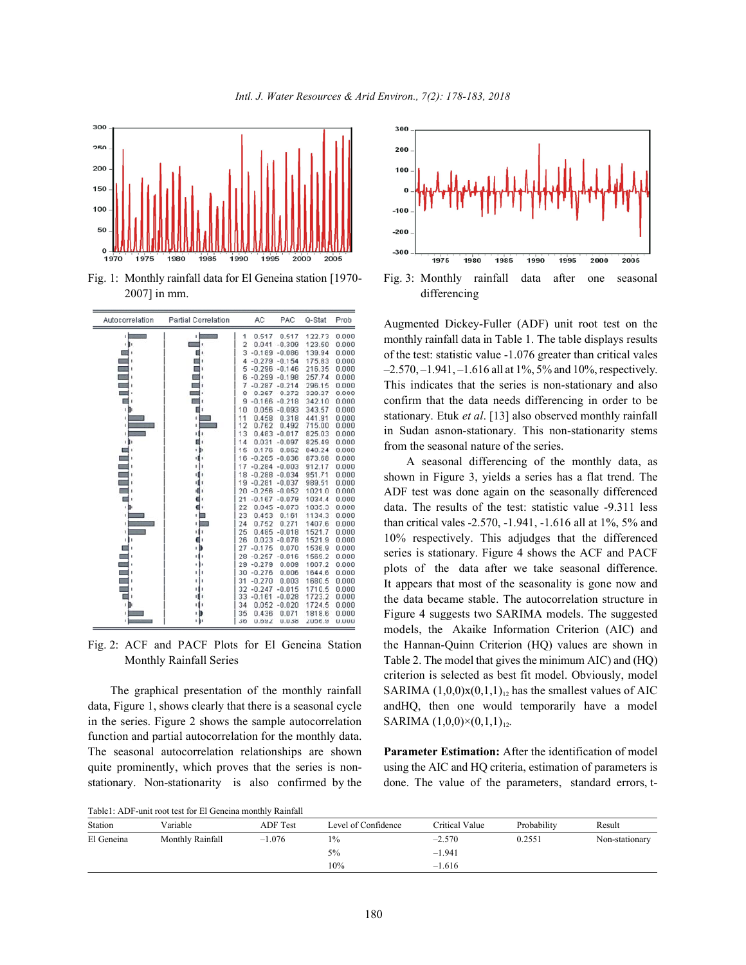

2007] in mm. differencing



data, Figure 1, shows clearly that there is a seasonal cycle andHQ, then one would temporarily have a model in the series. Figure 2 shows the sample autocorrelation function and partial autocorrelation for the monthly data. The seasonal autocorrelation relationships are shown **Parameter Estimation:** After the identification of model quite prominently, which proves that the series is non-<br>using the AIC and HQ criteria, estimation of parameters is stationary. Non-stationarity is also confirmed by the done. The value of the parameters, standard errors, t-



Augmented Dickey-Fuller (ADF) unit root test on the monthly rainfall data in Table 1. The table displays results of the test: statistic value -1.076 greater than critical vales  $-2.570, -1.941, -1.616$  all at  $1\%$ ,  $5\%$  and  $10\%$ , respectively. This indicates that the series is non-stationary and also confirm that the data needs differencing in order to be stationary. Etuk *et al*. [13] also observed monthly rainfall in Sudan asnon-stationary. This non-stationarity stems from the seasonal nature of the series.

Fig. 2: ACF and PACF Plots for El Geneina Station the Hannan-Quinn Criterion (HQ) values are shown in Monthly Rainfall Series Table 2. The model that gives the minimum AIC) and (HQ) The graphical presentation of the monthly rainfall SARIMA  $(1,0,0)x(0,1,1)_{12}$  has the smallest values of AIC A seasonal differencing of the monthly data, as shown in Figure 3, yields a series has a flat trend. The ADF test was done again on the seasonally differenced data. The results of the test: statistic value -9.311 less than critical vales -2.570, -1.941, -1.616 all at 1%, 5% and 10% respectively. This adjudges that the differenced series is stationary. Figure 4 shows the ACF and PACF plots of the data after we take seasonal difference. It appears that most of the seasonality is gone now and the data became stable. The autocorrelation structure in Figure 4 suggests two SARIMA models. The suggested models, the Akaike Information Criterion (AIC) and criterion is selected as best fit model. Obviously, model SARIMA  $(1,0,0)\times(0,1,1)_{12}$ .

Table1: ADF-unit root test for El Geneina monthly Rainfall

|            | TROIGILLED I GAIN LOOP POOP LOT LA COMPANY MIOMENT I TRAMMENT |          |                     |                |             |                |
|------------|---------------------------------------------------------------|----------|---------------------|----------------|-------------|----------------|
| Station    | Variable                                                      | ADF Test | Level of Confidence | Critical Value | Probability | Result         |
| El Geneina | Monthly Rainfall                                              | $-1.076$ | $1\%$               | $-2.570$       | 0.2551      | Non-stationary |
|            |                                                               |          | $5\%$               | $-1.941$       |             |                |
|            |                                                               |          | 10%                 | $-1.616$       |             |                |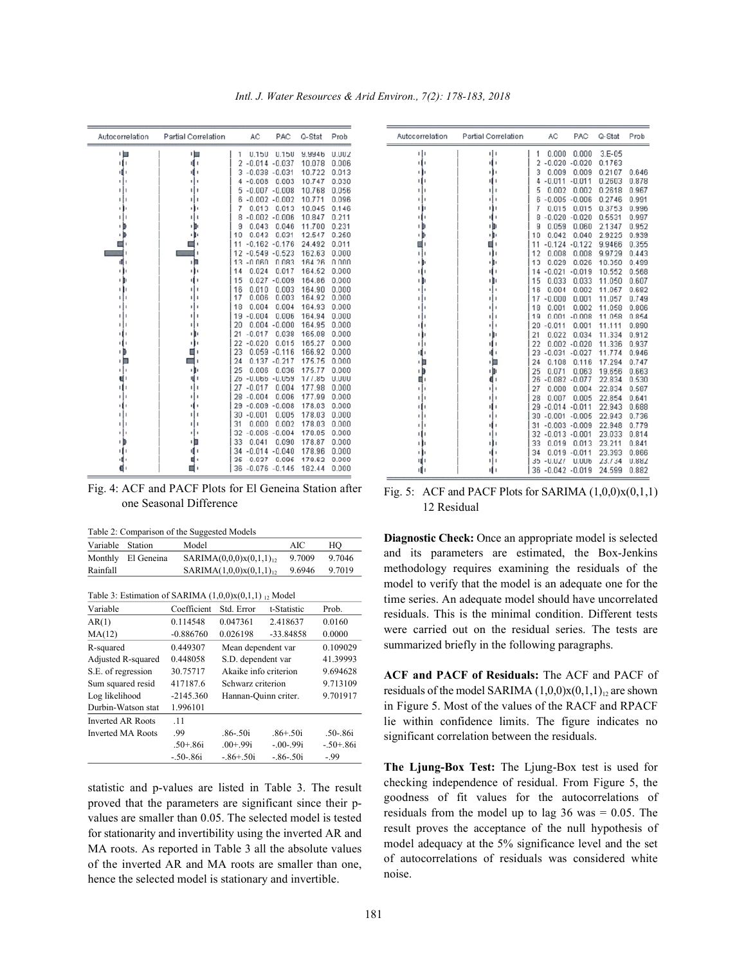| Autocorrelation | Partial Correlation | AC                            | PAC               | Q-Stat           | Prob           |
|-----------------|---------------------|-------------------------------|-------------------|------------------|----------------|
| ・目              | ∎ا                  | 0.150<br>1                    | 0.150             | 9.9946           | 0.002          |
| ı۱              | ıΠ                  | 2<br>$-0.014$                 | $-0.037$          | 10.078           | 0.006          |
| 順!              | ۱                   | $-0.038$<br>3                 | $-0.031$          | 10.722           | 0.013          |
| ٠               |                     | $-0.008$<br>4                 | 0.003             | 10.747           | 0.030          |
| ı               | ٠                   | $-0.007$<br>5                 | $-0.008$          | 10.768           | 0.056          |
| ı               | t                   | $-0.002$<br>ნ                 | $-0.002$          | 10.771           | 0.096          |
| ٠               |                     | 0.013<br>7                    | 0.013             | 10.845           | 0.146          |
| ٠               |                     | $-0.002$<br>8                 | $-0.006$          | 10.847           | 0.211          |
| ٠               | ٠                   | 0.043<br>9                    | 0.046             | 11.700           | 0.231          |
| ı B             |                     | 0.043<br>10                   | 0.031             | 12.547           | 0.250          |
|                 |                     | $-0.162$<br>11                | $-0.176$          | 24.492           | 0.011          |
|                 |                     | $-0.549$<br>12                | $-0.523$          | 162.63           | 0.000          |
| đ.              | ı<br>п              | $-0.060$<br>13                | 0.083             | 164.26           | 0.000          |
| ш               | в<br>٠              | 0.024<br>14                   | 0.017             | 164.52           | 0.000          |
| ۱IJ             | ۱                   | 15                            | $0.027 - 0.009$   | 164.86           | 0.000          |
| ۱Þ              | I                   | 0.010<br>16                   | 0.003             | 164.90           | 0.000          |
| ٠               | ı                   | 17<br>0.006                   | 0.003             | 164.92           | 0.000          |
| ٠               | ٠                   | 0.004<br>18                   | 0.004             | 164.93           | 0.000          |
| ı               |                     | $-0.004$<br>19                | 0.006             | 164.94           | 0.000          |
| ٠<br>Ï          |                     | 20<br>0.004                   | $-0.000$          | 164.95           | 0.000          |
| ш               | ۱                   | 21<br>$-0.017$                | 0.038             | 165.08           | 0.000          |
| пH<br>٠D        | ٠                   | $-0.020$<br>22<br>23<br>0.059 | 0.015<br>$-0.116$ | 165.27<br>166.92 | 0.000<br>0.000 |
| ・目              |                     | 0.137<br>24                   | $-0.217$          | 175.75           | 0.000          |
| ľ<br>н          | ı                   | 25<br>0.006                   | 0.036             | 175.77           | 0.000          |
| u i             | ı                   | $26 - 0.066$                  | $-0.059$          | 177.85           | 0.000          |
| ш               | I                   | $-0.017$<br>27                | 0.004             | 177.98           | 0.000          |
| ٠<br>۱          | ٠                   | 28<br>$-0.004$                | 0.006             | 177.99           | 0.000          |
| ٠<br>×          | I.                  | $-0.009$<br>29                | $-0.008$          | 178.03           | 0.000          |
| ı               |                     | 30<br>$-0.001$                | 0.005             | 178.03           | 0.000          |
| ٠               | ı                   | 31<br>0.000                   | 0.002             | 178.03           | 0.000          |
| ٠               |                     | $-0.006$<br>32                | $-0.004$          | 178.05           | 0.000          |
| ιĐ              | в<br>ı              | 33<br>0.041                   | 0.090             | 178.87           | 0.000          |
| ш               | 1                   | $-0.014 - 0.040$<br>34        |                   | 178.96           | 0.000          |
| 唱!              | ۱                   | $-0.037$<br>35                | $-0.095$          | 179.62           | 0.000          |
|                 | 1                   | $-0.076 - 0.145$<br>36        |                   | 182.44           | 0.000          |

*Intl. J. Water Resources & Arid Environ., 7(2): 178-183, 2018*

Fig. 4: ACF and PACF Plots for El Geneina Station after one Seasonal Difference

Table 2: Comparison of the Suggested Models

| Variable Station |            | Model                                                      | AIC    | HО     |
|------------------|------------|------------------------------------------------------------|--------|--------|
| Monthly          | El Geneina | SARIMA(0,0,0)x(0,1,1) <sub>12</sub>                        | 9.7009 | 9.7046 |
| Rainfall         |            | SARIMA(1,0,0)x(0,1,1) <sub>12</sub>                        | 9.6946 | 9.7019 |
|                  |            | Table 3: Estimation of SARIMA $(1,0,0)x(0,1,1)_{12}$ Model |        |        |

| Variable                 | Coefficient  | Std. Error            | t-Statistic  | Prob.        |
|--------------------------|--------------|-----------------------|--------------|--------------|
| AR(1)                    | 0.114548     | 0.047361              | 2.418637     | 0.0160       |
| MA(12)                   | $-0.886760$  | 0.026198              | $-33.84858$  | 0.0000       |
| R-squared                | 0.449307     | Mean dependent var    |              | 0.109029     |
| Adjusted R-squared       | 0.448058     | S.D. dependent var    |              | 41.39993     |
| S.E. of regression       | 30.75717     | Akaike info criterion |              | 9.694628     |
| Sum squared resid        | 417187.6     | Schwarz criterion     |              | 9.713109     |
| Log likelihood           | $-2145.360$  | Hannan-Quinn criter.  |              | 9.701917     |
| Durbin-Watson stat       | 1.996101     |                       |              |              |
| <b>Inverted AR Roots</b> | .11          |                       |              |              |
| <b>Inverted MA Roots</b> | -99          | $.86 - .50i$          | $.86 + .50i$ | $.50 - .86i$ |
|                          | $.50 + .86i$ | $.00 + .99i$          | $-00-99i$    | $-.50+.86i$  |
|                          | $-.50-.86i$  | $-86 + 50i$           | $-86 - 50i$  | $-99$        |

statistic and p-values are listed in Table 3. The result proved that the parameters are significant since their pvalues are smaller than 0.05. The selected model is tested for stationarity and invertibility using the inverted AR and MA roots. As reported in Table 3 all the absolute values of the inverted AR and MA roots are smaller than one, hence the selected model is stationary and invertible.

| Autocorrelation | <b>Partial Correlation</b> | AC                         | PAC              | Q-Stat   | Prob  |
|-----------------|----------------------------|----------------------------|------------------|----------|-------|
| ۱l<br>I         | ۱ ا                        | 0.000<br>1                 | 0.000            | $3.E-05$ |       |
| н               | 41                         | $\overline{2}$<br>$-0.020$ | $-0.020$         | 0.1763   |       |
| ı               | п                          | 3<br>0.009                 | 0.009            | 0.2107   | 0.646 |
|                 | п                          | 4<br>$-0.011$              | $-0.011$         | 0.2603   | 0.878 |
|                 | п                          | 5<br>0.002                 | 0.002            | 0.2618   | 0.967 |
|                 | 1                          | $-0.005$<br>6              | $-0.006$         | 0.2746   | 0.991 |
|                 | п                          | 7<br>0.015                 | 0.015            | 0.3753   | 0.996 |
|                 | ı                          | $-0.020$<br>8              | $-0.020$         | 0.5531   | 0.997 |
|                 | ı                          | g<br>0.059                 | 0.060            | 2.1347   | 0.952 |
| ı               | . .                        | 10<br>0.042                | 0.040            | 2.9225   | 0.939 |
|                 |                            | 11<br>$-0.124$             | $-0.122$         | 9.9466   | 0.355 |
|                 | н                          | 12<br>0.008                | 0.008            | 9.9729   | 0.443 |
| 11              | ۱H                         | 13<br>0.029                | 0.026            | 10.350   | 0.499 |
|                 | ш                          | $-0.021$<br>14             | $-0.019$         | 10.552   | 0.568 |
|                 | н.                         | 15<br>0.033                | 0.033            | 11.050   | 0.607 |
|                 | ٠                          | 16<br>0.004                | 0.002            | 11.057   | 0.682 |
|                 |                            | $-0.000$<br>17             | 0.001            | 11.057   | 0.749 |
|                 |                            | 18<br>0.001                | 0.002            | 11.058   | 0.806 |
|                 |                            | 0.001<br>19                | $-0.008$         | 11.058   | 0.854 |
|                 |                            | $-0.011$<br>20             | 0.001            | 11.111   | 0.890 |
|                 | ٠                          | 21<br>0.022                | 0.034            | 11.334   | 0.912 |
|                 |                            | 22<br>0.002                | $-0.020$         | 11.336   | 0.937 |
|                 |                            | 23<br>$-0.031$             | $-0.027$         | 11.774   | 0.946 |
| 1 M             | 1 M                        | 24<br>0.108                | 0.116            | 17.294   | 0.747 |
|                 | 1 D                        | 25<br>0.071                | 0.063            | 19,656   | 0.663 |
|                 |                            | $-0.082$<br>26             | $-0.077$         | 22.834   | 0.530 |
|                 |                            | 27<br>0.000                | 0.004            | 22.834   | 0.587 |
|                 |                            | 28<br>0.007                | 0.005            | 22.854   | 0.641 |
|                 |                            | 29<br>$-0.014$             | $-0.011$         | 22.943   | 0.688 |
|                 |                            | 30<br>$-0.001$             | $-0.005$         | 22.943   | 0.736 |
|                 |                            | 31<br>$-0.003$             | $-0.009$         | 22.948   | 0.779 |
|                 | ٠                          | 32                         | $-0.013 - 0.001$ | 23.033   | 0.814 |
|                 | ш                          | 33<br>0.019                | 0.013            | 23.211   | 0.841 |
|                 |                            | 34<br>0.019                | $-0.011$         | 23.393   | 0.866 |
|                 | н<br>ı                     | $-0.027$<br>35             | 0.006            | 23.734   | 0.882 |
| ψı              | 11                         | $-0.042$<br>36             | $-0.019$         | 24.599   | 0.882 |

Fig. 5: ACF and PACF Plots for SARIMA  $(1,0,0)x(0,1,1)$ 12 Residual

**Diagnostic Check:** Once an appropriate model is selected and its parameters are estimated, the Box-Jenkins methodology requires examining the residuals of the model to verify that the model is an adequate one for the time series. An adequate model should have uncorrelated residuals. This is the minimal condition. Different tests were carried out on the residual series. The tests are summarized briefly in the following paragraphs.

**ACF and PACF of Residuals:** The ACF and PACF of residuals of the model SARIMA  $(1,0,0)x(0,1,1)_1$  are shown in Figure 5. Most of the values of the RACF and RPACF lie within confidence limits. The figure indicates no significant correlation between the residuals.

**The Ljung-Box Test:** The Ljung-Box test is used for checking independence of residual. From Figure 5, the goodness of fit values for the autocorrelations of residuals from the model up to lag  $36$  was  $= 0.05$ . The result proves the acceptance of the null hypothesis of model adequacy at the 5% significance level and the set of autocorrelations of residuals was considered white noise.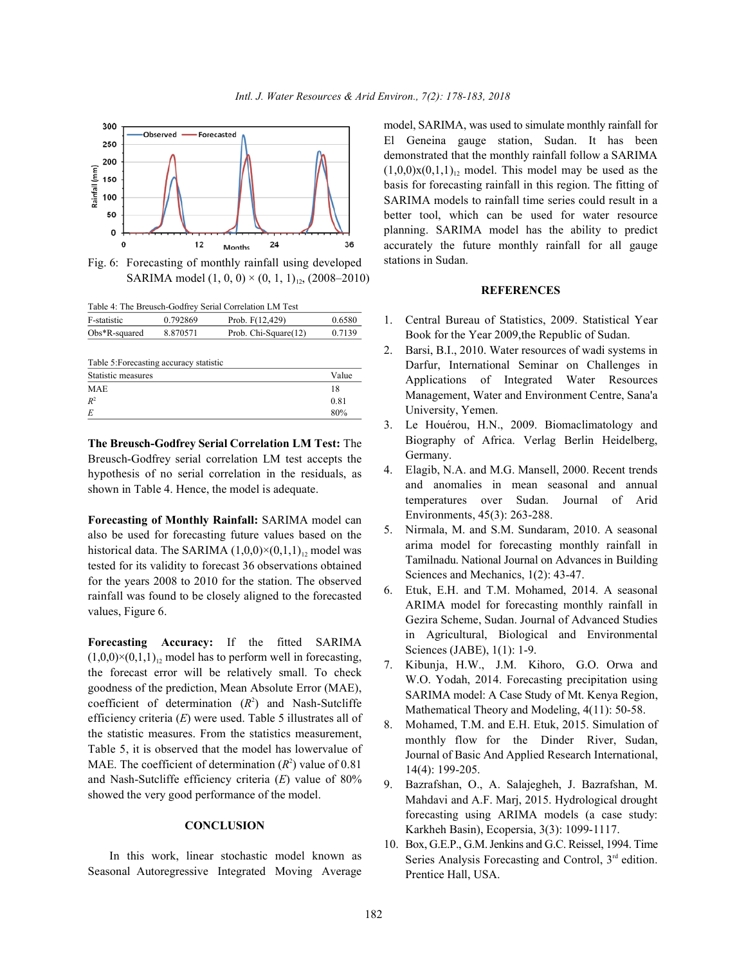

Fig. 6: Forecasting of monthly rainfall using developed SARIMA model  $(1, 0, 0) \times (0, 1, 1)_{12}$ , (2008–2010)

Table 4: The Breusch-Godfrey Serial Correlation LM Test

| F-statistic      | 0.792869 | Prob. $F(12, 429)$   | 0.6580 |
|------------------|----------|----------------------|--------|
| $Obs*R$ -squared | 8.870571 | Prob. Chi-Square(12) | 0.7139 |
|                  |          |                      |        |

| Table 5: Forecasting accuracy statistic |       |  |
|-----------------------------------------|-------|--|
| Statistic measures                      | Value |  |
| <b>MAE</b>                              | 18    |  |
| $R^2$                                   | 0.81  |  |
| E                                       | 80%   |  |

**The Breusch-Godfrey Serial Correlation LM Test:** The Breusch-Godfrey serial correlation LM test accepts the hypothesis of no serial correlation in the residuals, as shown in Table 4. Hence, the model is adequate.

**Forecasting of Monthly Rainfall:** SARIMA model can also be used for forecasting future values based on the historical data. The SARIMA  $(1,0,0) \times (0,1,1)$ <sup>1</sup> model was tested for its validity to forecast 36 observations obtained for the years 2008 to 2010 for the station. The observed rainfall was found to be closely aligned to the forecasted values, Figure 6.

**Forecasting Accuracy:** If the fitted SARIMA  $(1,0,0)\times(0,1,1)_{12}$  model has to perform well in forecasting, the forecast error will be relatively small. To check goodness of the prediction, Mean Absolute Error (MAE), coefficient of determination  $(R^2)$  and Nash-Sutcliffe efficiency criteria (*E*) were used. Table 5 illustrates all of the statistic measures. From the statistics measurement, Table 5, it is observed that the model has lowervalue of MAE. The coefficient of determination  $(R^2)$  value of 0.81 and Nash-Sutcliffe efficiency criteria (*E*) value of 80% showed the very good performance of the model.

### **CONCLUSION**

In this work, linear stochastic model known as Seasonal Autoregressive Integrated Moving Average model, SARIMA, was used to simulate monthly rainfall for El Geneina gauge station, Sudan. It has been demonstrated that the monthly rainfall follow a SARIMA  $(1,0,0)x(0,1,1)_1$ , model. This model may be used as the basis for forecasting rainfall in this region. The fitting of SARIMA models to rainfall time series could result in a better tool, which can be used for water resource planning. SARIMA model has the ability to predict accurately the future monthly rainfall for all gauge stations in Sudan.

## **REFERENCES**

- 1. Central Bureau of Statistics, 2009. Statistical Year Book for the Year 2009,the Republic of Sudan.
- 2. Barsi, B.I., 2010. Water resources of wadi systems in Darfur, International Seminar on Challenges in Applications of Integrated Water Resources Management, Water and Environment Centre, Sana'a University, Yemen.
- 3. Le Houérou, H.N., 2009. Biomaclimatology and Biography of Africa. Verlag Berlin Heidelberg, Germany.
- 4. Elagib, N.A. and M.G. Mansell, 2000. Recent trends and anomalies in mean seasonal and annual temperatures over Sudan. Journal of Arid Environments, 45(3): 263-288.
- 5. Nirmala, M. and S.M. Sundaram, 2010. A seasonal arima model for forecasting monthly rainfall in Tamilnadu. National Journal on Advances in Building Sciences and Mechanics, 1(2): 43-47.
- 6. Etuk, E.H. and T.M. Mohamed, 2014. A seasonal ARIMA model for forecasting monthly rainfall in Gezira Scheme, Sudan. Journal of Advanced Studies in Agricultural, Biological and Environmental Sciences (JABE), 1(1): 1-9.
- 7. Kibunja, H.W., J.M. Kihoro, G.O. Orwa and W.O. Yodah, 2014. Forecasting precipitation using SARIMA model: A Case Study of Mt. Kenya Region, Mathematical Theory and Modeling, 4(11): 50-58.
- 8. Mohamed, T.M. and E.H. Etuk, 2015. Simulation of monthly flow for the Dinder River, Sudan, Journal of Basic And Applied Research International, 14(4): 199-205.
- 9. Bazrafshan, O., A. Salajegheh, J. Bazrafshan, M. Mahdavi and A.F. Marj, 2015. Hydrological drought forecasting using ARIMA models (a case study: Karkheh Basin), Ecopersia, 3(3): 1099-1117.
- 10. Box, G.E.P., G.M. Jenkins and G.C. Reissel, 1994. Time Series Analysis Forecasting and Control,  $3<sup>rd</sup>$  edition. Prentice Hall, USA.